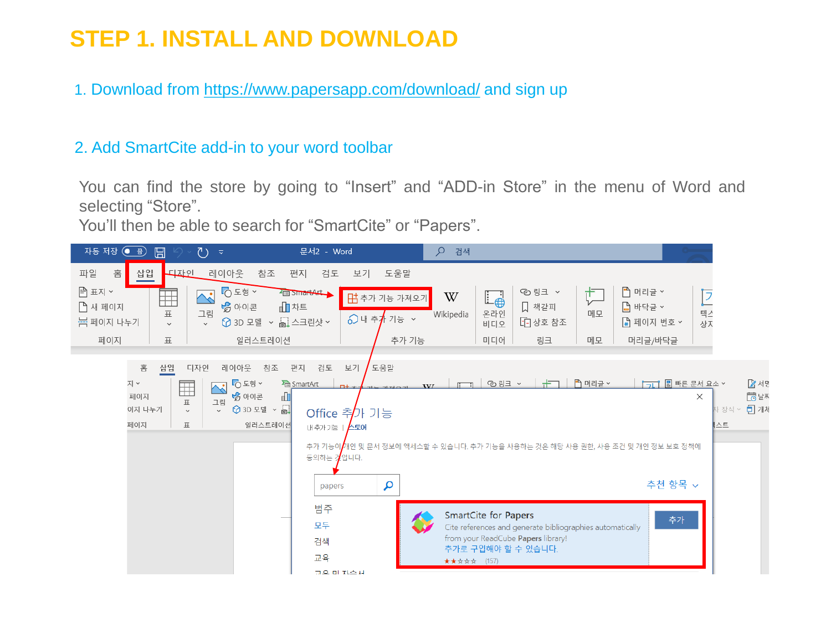# **STEP 1. INSTALL AND DOWNLOAD**

1. Download from <https://www.papersapp.com/download/> and sign up

### 2. Add SmartCite add-in to your word toolbar

You can find the store by going to "Insert" and "ADD-in Store" in the menu of Word and selecting "Store".

You'll then be able to search for "SmartCite" or "Papers".

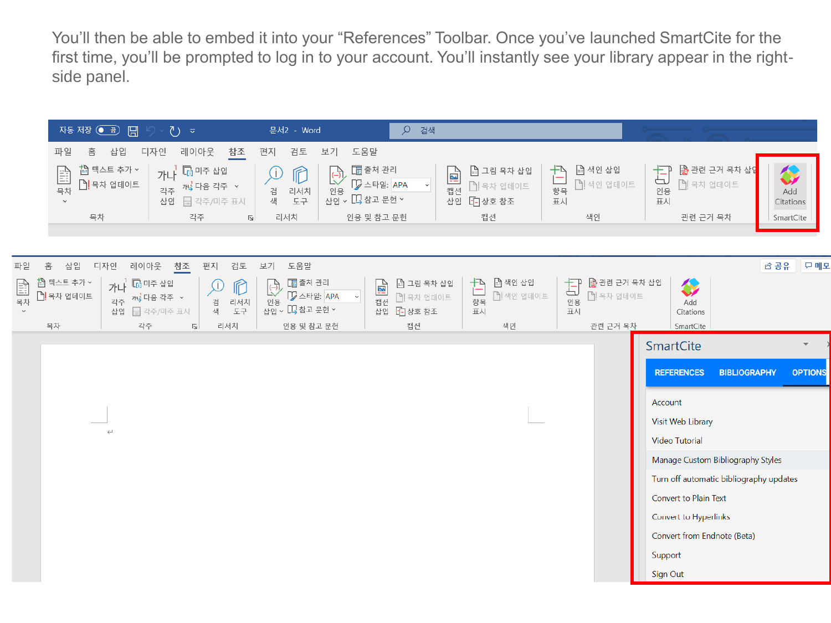You'll then be able to embed it into your "References" Toolbar. Once you've launched SmartCite for the first time, you'll be prompted to log in to your account. You'll instantly see your library appear in the rightside panel.

|                                     | 자동 저장 ● 곱 日                                                                                                                    |                    | ひ $\bar{z}$                                             |                                          | 문서2 - Word                                               |                            | Q 검색                                                                                                            |                                            |                                       |                                             |                     |                                         |                |             |     |
|-------------------------------------|--------------------------------------------------------------------------------------------------------------------------------|--------------------|---------------------------------------------------------|------------------------------------------|----------------------------------------------------------|----------------------------|-----------------------------------------------------------------------------------------------------------------|--------------------------------------------|---------------------------------------|---------------------------------------------|---------------------|-----------------------------------------|----------------|-------------|-----|
|                                     | 파일<br>홈                                                                                                                        | 삽입                 | 디자인<br>레이아웃                                             | 참조                                       | 편지<br>검토                                                 | 보기                         | 도움말                                                                                                             |                                            |                                       |                                             |                     |                                         |                |             |     |
|                                     | ↑ 텍스트 추가 ~<br>가나 <mark>다</mark> 미주 삽입<br>E<br><mark>을</mark> 목차 업데이트<br>각주 개 다음 각주 ~<br>목차<br>급 각주/미주 표시<br>$\checkmark$<br>삽입 |                    | $\widehat{\mathbb{L}}$<br>$\cup$<br>리서치<br>검<br>색<br>도구 | $\widehat{\mathbb{G}}$<br>인용             | 圖출처 관리<br>回<br>DZ 스타일: APA<br>캡션<br>사업 v 口 참고 문헌 v<br>삽입 |                            | □ 그림 목차 삽입<br>□ 목차 업데이트<br>[고상호참조                                                                               | □ 색인 삽입<br>凸<br>仁<br>□ 색인 업데이트<br>항목<br>표시 |                                       | ■ 관련 근거 목차 삽입<br>甘<br>□ 목차 업데이트<br>인용<br>표시 |                     | Add<br>Citations                        |                |             |     |
|                                     | 목차                                                                                                                             |                    | 각주                                                      | $\overline{\mathbb{N}}$                  | 리서치                                                      |                            | 인용 및 참고 문헌                                                                                                      |                                            | 캡션                                    | 색인                                          |                     | 관련 근거 목차                                |                | SmartCite   |     |
|                                     |                                                                                                                                |                    |                                                         |                                          |                                                          |                            |                                                                                                                 |                                            |                                       |                                             |                     |                                         |                |             |     |
| 마일                                  | 삽입<br>홈                                                                                                                        | 디자인<br>레이아웃        | 참조                                                      | 편지<br>검토                                 | 보기<br>도움말                                                |                            |                                                                                                                 |                                            |                                       |                                             |                     |                                         |                | <i>이</i> 공유 | 모메모 |
| <b>E</b><br>—<br>목차<br>$\checkmark$ | ↑ 텍스트 추가 ×<br>□ 목차 업데이트                                                                                                        | 가나<br>각주 개 다음 각주 ~ | $\overline{\mathbb{F}_0}$ 미주 삽입<br>삽입 급 각주/미주 표시        | $\mathbb{R}$<br>W<br>검<br>리서치<br>도구<br>색 | 圖출처 관리<br>$\overline{\mathbb{C}}$<br>인용                  | D 스타일: APA<br>$\checkmark$ | □ 그림 목차 삽입<br>$\boxed{\underline{\underline{\underline{\bf M}}}}$ $\frac{1}{d}$<br>■ 목차 업데이트<br>[1] 상호 참조<br>삽입 |                                            | ■ 색인 삽입<br>Ð<br>□ 색인 업데이트<br>항목<br>玉시 | 旬<br>□ 목차 업데이트<br>五시                        | ■ 관련 근거 목차 삽입       | <b>A</b><br>Add<br>Citations            |                |             |     |
|                                     | 목차                                                                                                                             | 각주                 | $\overline{2}$                                          | 리서치                                      |                                                          | 인용 및 참고 문헌                 | 캡션                                                                                                              |                                            | 색인                                    | 관련 근거 목차                                    |                     | SmartCite                               |                |             |     |
|                                     |                                                                                                                                |                    |                                                         |                                          |                                                          |                            |                                                                                                                 |                                            |                                       | SmartCite                                   |                     |                                         |                |             |     |
|                                     |                                                                                                                                |                    |                                                         |                                          |                                                          |                            |                                                                                                                 |                                            |                                       |                                             | <b>BIBLIOGRAPHY</b> |                                         | <b>OPTIONS</b> |             |     |
|                                     |                                                                                                                                |                    |                                                         |                                          |                                                          |                            |                                                                                                                 |                                            |                                       |                                             |                     | Account                                 |                |             |     |
|                                     |                                                                                                                                |                    |                                                         |                                          |                                                          |                            |                                                                                                                 |                                            |                                       |                                             |                     | Visit Web Library                       |                |             |     |
|                                     |                                                                                                                                | $\hookleftarrow$   |                                                         |                                          |                                                          |                            |                                                                                                                 |                                            |                                       |                                             |                     | <b>Video Tutorial</b>                   |                |             |     |
|                                     |                                                                                                                                |                    |                                                         |                                          |                                                          |                            |                                                                                                                 |                                            |                                       |                                             |                     | Manage Custom Bibliography Styles       |                |             |     |
|                                     |                                                                                                                                |                    |                                                         |                                          |                                                          |                            |                                                                                                                 |                                            |                                       |                                             |                     | Turn off automatic bibliography updates |                |             |     |
|                                     |                                                                                                                                |                    |                                                         |                                          |                                                          |                            |                                                                                                                 |                                            |                                       |                                             |                     | Convert to Plain Text                   |                |             |     |
|                                     |                                                                                                                                |                    |                                                         |                                          |                                                          |                            |                                                                                                                 |                                            |                                       |                                             |                     | Convert to Hyperlinks                   |                |             |     |
|                                     |                                                                                                                                |                    |                                                         |                                          |                                                          |                            |                                                                                                                 |                                            |                                       |                                             |                     | Convert from Endnote (Beta)             |                |             |     |
|                                     |                                                                                                                                |                    |                                                         |                                          |                                                          |                            |                                                                                                                 |                                            |                                       |                                             |                     | Support                                 |                |             |     |
|                                     |                                                                                                                                |                    |                                                         |                                          |                                                          |                            |                                                                                                                 |                                            |                                       |                                             |                     | Sign Out                                |                |             |     |
|                                     |                                                                                                                                |                    |                                                         |                                          |                                                          |                            |                                                                                                                 |                                            |                                       |                                             |                     |                                         |                |             |     |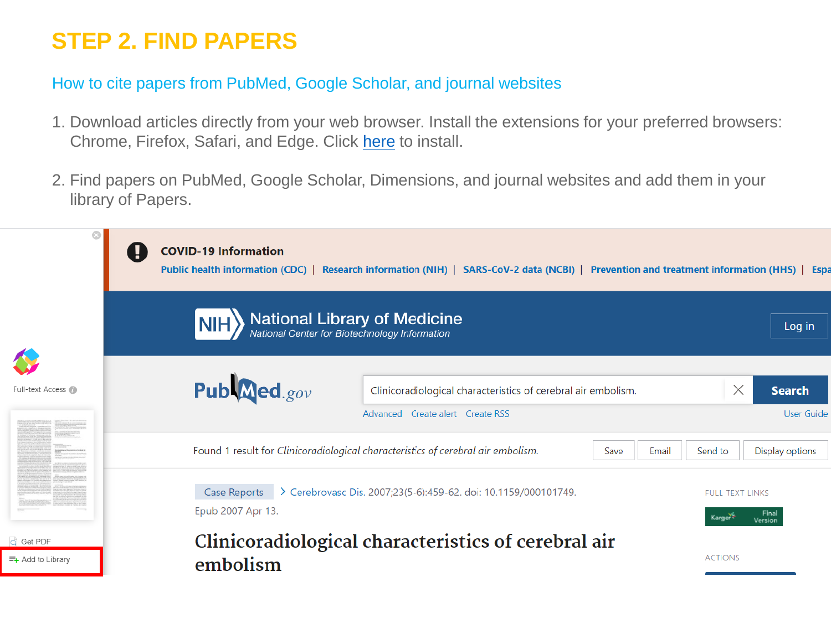## **STEP 2. FIND PAPERS**

### How to cite papers from PubMed, Google Scholar, and journal websites

- 1. Download articles directly from your web browser. Install the extensions for your preferred browsers: Chrome, Firefox, Safari, and Edge. Click [here](https://support.papersapp.com/support/solutions/articles/30000030377-how-do-i-add-the-readcube-papers-browser-extension-to-my-browser-) to install.
- 2. Find papers on PubMed, Google Scholar, Dimensions, and journal websites and add them in your library of Papers.

|                                                   | <b>COVID-19 Information</b><br>Public health information (CDC)   Research information (NIH)   SARS-CoV-2 data (NCBI)   Prevention and treatment information (HHS)   Espa |                                    |  |  |  |  |  |  |  |  |  |
|---------------------------------------------------|--------------------------------------------------------------------------------------------------------------------------------------------------------------------------|------------------------------------|--|--|--|--|--|--|--|--|--|
|                                                   | <b>National Library of Medicine</b><br>National Center for Biotechnology Information                                                                                     | Log in                             |  |  |  |  |  |  |  |  |  |
| Full-text Access                                  | Pub <b>Med</b> .gov<br>$\times$<br>Clinicoradiological characteristics of cerebral air embolism.<br>Advanced Create alert Create RSS                                     | <b>Search</b><br><b>User Guide</b> |  |  |  |  |  |  |  |  |  |
|                                                   | Found 1 result for Clinicoradiological characteristics of cerebral air embolism.<br>Send to<br>Save<br>Display options<br>Email                                          |                                    |  |  |  |  |  |  |  |  |  |
|                                                   | Case Reports > Cerebrovasc Dis. 2007;23(5-6):459-62. doi: 10.1159/000101749.<br><b>FULL TEXT LINKS</b><br>Epub 2007 Apr 13.<br>Karger<br>Version                         |                                    |  |  |  |  |  |  |  |  |  |
| C Get PDF<br>$\equiv_{\mathsf{+}}$ Add to Library | Clinicoradiological characteristics of cerebral air<br><b>ACTIONS</b><br>embolism                                                                                        |                                    |  |  |  |  |  |  |  |  |  |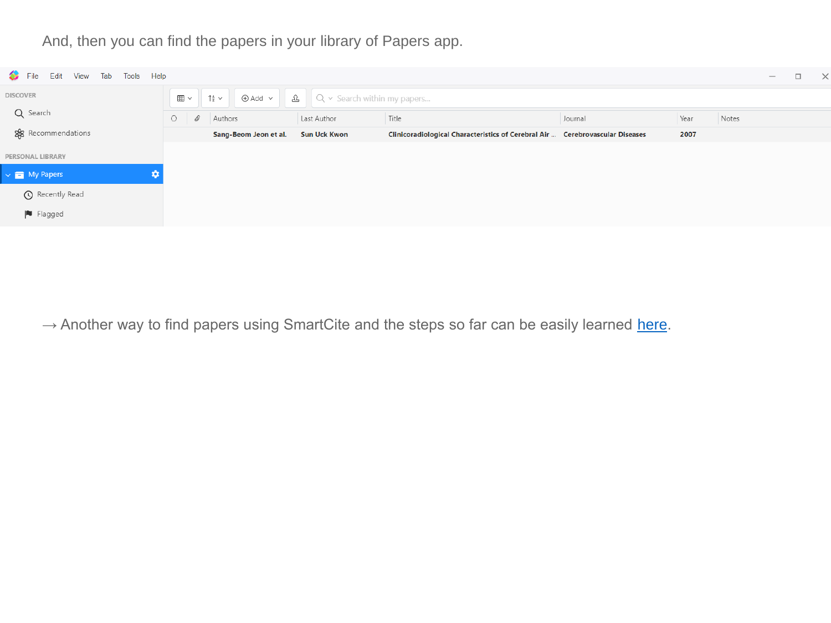And, then you can find the papers in your library of Papers app.



 $\rightarrow$  Another way to find papers using SmartCite and the steps so far can be easily learned [here](https://www.papersapp.com/smartcite-for-word/?wvideo=xl7q7ingsb).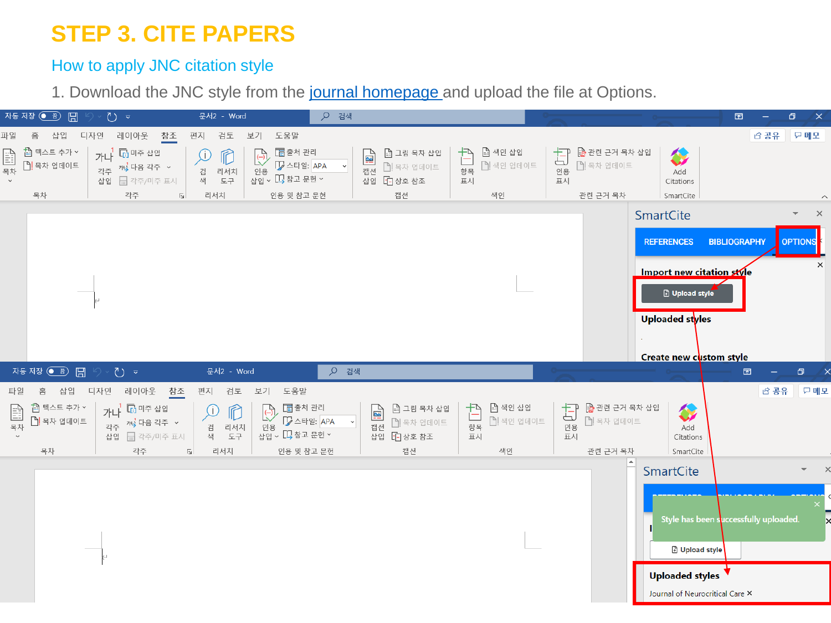## **STEP 3. CITE PAPERS**

### How to apply JNC citation style

1. Download the JNC style from the [journal homepage a](https://e-jnc.org/)nd upload the file at Options.

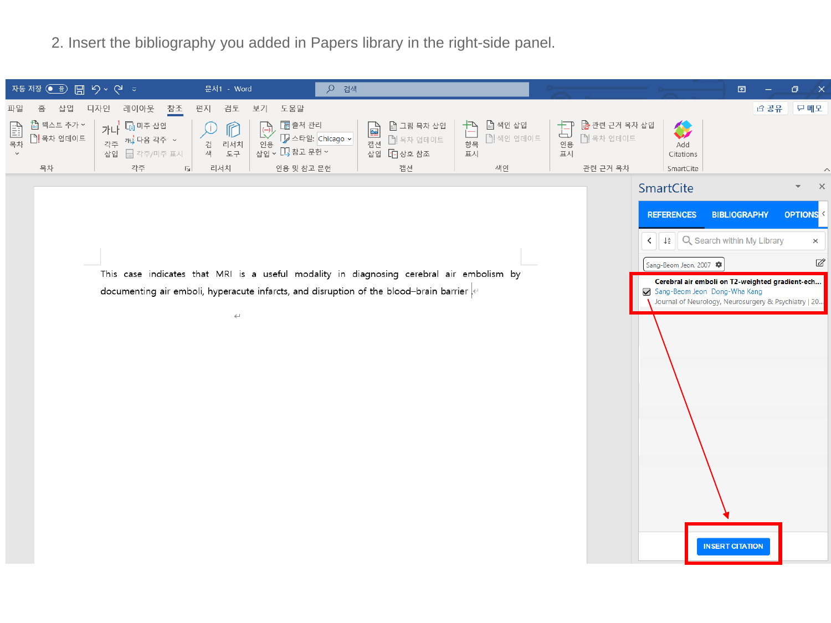2. Insert the bibliography you added in Papers library in the right-side panel.

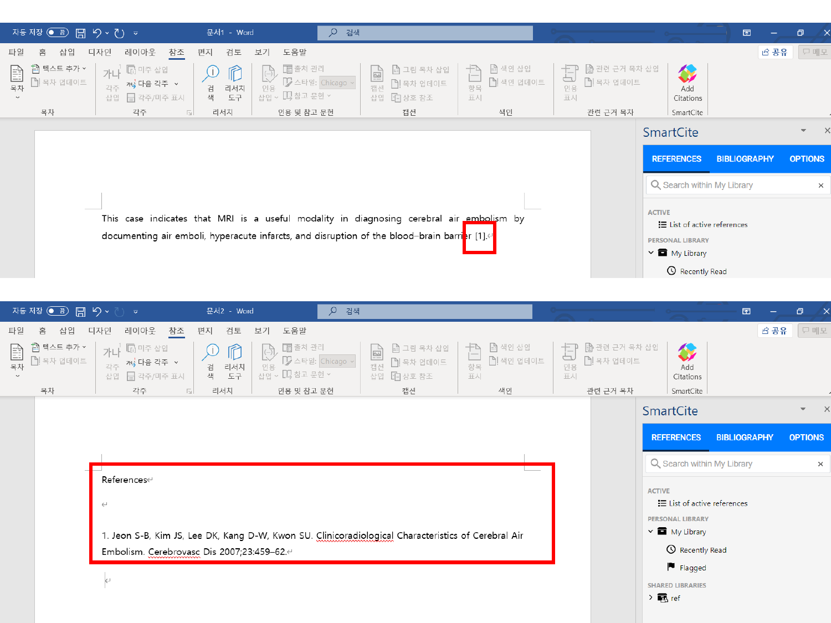